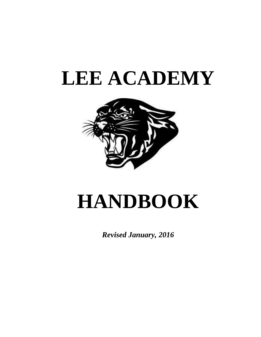# **LEE ACADEMY**



# **HANDBOOK**

*Revised January, 2016*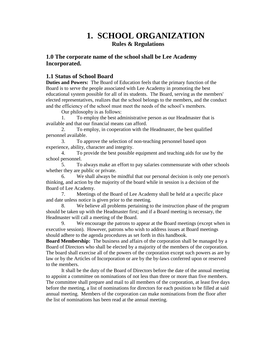# **1. SCHOOL ORGANIZATION Rules & Regulations**

# **1.0 The corporate name of the school shall be Lee Academy Incorporated.**

# **1.1 Status of School Board**

**Duties and Powers:** The Board of Education feels that the primary function of the Board is to serve the people associated with Lee Academy in promoting the best educational system possible for all of its students. The Board, serving as the members' elected representatives, realizes that the school belongs to the members, and the conduct and the efficiency of the school must meet the needs of the school's members.

Our philosophy is as follows:

1. To employ the best administrative person as our Headmaster that is available and that our financial means can afford.

2. To employ, in cooperation with the Headmaster, the best qualified personnel available.

3. To approve the selection of non-teaching personnel based upon experience, ability, character and integrity.

4. To provide the best possible equipment and teaching aids for use by the school personnel.

5. To always make an effort to pay salaries commensurate with other schools whether they are public or private.

We shall always be mindful that our personal decision is only one person's thinking, and action by the majority of the board while in session is a decision of the Board of Lee Academy.

7. Meetings of the Board of Lee Academy shall be held at a specific place and date unless notice is given prior to the meeting.

8. We believe all problems pertaining to the instruction phase of the program should be taken up with the Headmaster first; and if a Board meeting is necessary, the Headmaster will call a meeting of the Board.

9. We encourage the patrons to appear at the Board meetings (except when in executive session). However, patrons who wish to address issues at Board meetings should adhere to the agenda procedures as set forth in this handbook.

**Board Membership:** The business and affairs of the corporation shall be managed by a Board of Directors who shall be elected by a majority of the members of the corporation. The board shall exercise all of the powers of the corporation except such powers as are by law or by the Articles of Incorporation or are by the by-laws conferred upon or reserved to the members.

It shall be the duty of the Board of Directors before the date of the annual meeting to appoint a committee on nominations of not less than three or more than five members. The committee shall prepare and mail to all members of the corporation, at least five days before the meeting, a list of nominations for directors for each position to be filled at said annual meeting. Members of the corporation can make nominations from the floor after the list of nominations has been read at the annual meeting.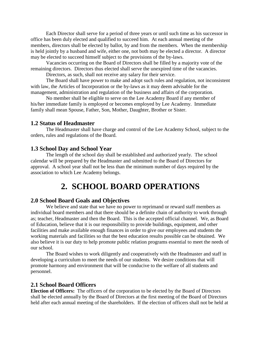Each Director shall serve for a period of three years or until such time as his successor in office has been duly elected and qualified to succeed him. At each annual meeting of the members, directors shall be elected by ballot, by and from the members. When the membership is held jointly by a husband and wife, either one, not both may be elected a director. A director may be elected to succeed himself subject to the provisions of the by-laws.

Vacancies occurring on the Board of Directors shall be filled by a majority vote of the remaining directors. Directors thus elected shall serve the unexpired time of the vacancies.

Directors, as such, shall not receive any salary for their service.

The Board shall have power to make and adopt such rules and regulation, not inconsistent with law, the Articles of Incorporation or the by-laws as it may deem advisable for the management, administration and regulation of the business and affairs of the corporation.

No member shall be eligible to serve on the Lee Academy Board if any member of his/her immediate family is employed or becomes employed by Lee Academy. Immediate family shall mean Spouse, Father, Son, Mother, Daughter, Brother or Sister.

## **1.2 Status of Headmaster**

The Headmaster shall have charge and control of the Lee Academy School, subject to the orders, rules and regulations of the Board.

## **1.3 School Day and School Year**

The length of the school day shall be established and authorized yearly. The school calendar will be prepared by the Headmaster and submitted to the Board of Directors for approval. A school year shall not be less than the minimum number of days required by the association to which Lee Academy belongs.

# **2. SCHOOL BOARD OPERATIONS**

# **2.0 School Board Goals and Objectives**

We believe and state that we have no power to reprimand or reward staff members as individual board members and that there should be a definite chain of authority to work through as; teacher, Headmaster and then the Board. This is the accepted official channel. We, as Board of Education, believe that it is our responsibility to provide buildings, equipment, and other facilities and make available enough finances in order to give our employees and students the working materials and facilities so that the best education results possible can be obtained. We also believe it is our duty to help promote public relation programs essential to meet the needs of our school.

The Board wishes to work diligently and cooperatively with the Headmaster and staff in developing a curriculum to meet the needs of our students. We desire conditions that will promote harmony and environment that will be conducive to the welfare of all students and personnel.

### **2.1 School Board Officers**

**Election of Officers:** The officers of the corporation to be elected by the Board of Directors shall be elected annually by the Board of Directors at the first meeting of the Board of Directors held after each annual meeting of the shareholders. If the election of officers shall not be held at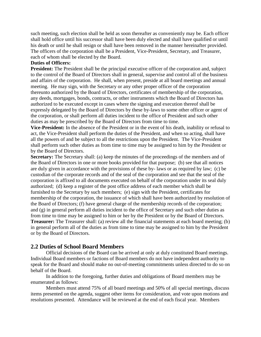such meeting, such election shall be held as soon thereafter as conveniently may be. Each officer shall hold office until his successor shall have been duly elected and shall have qualified or until his death or until he shall resign or shall have been removed in the manner hereinafter provided. The officers of the corporation shall be a President, Vice-President, Secretary, and Treasurer, each of whom shall be elected by the Board.

### **Duties of Officers:**

**President:** The President shall be the principal executive officer of the corporation and, subject to the control of the Board of Directors shall in general, supervise and control all of the business and affairs of the corporation. He shall, when present, preside at all board meetings and annual meeting. He may sign, with the Secretary or any other proper officer of the corporation thereunto authorized by the Board of Directors, certificates of membership of the corporation, any deeds, mortgages, bonds, contracts, or other instruments which the Board of Directors has authorized to be executed except in cases where the signing and execution thereof shall be expressly delegated by the Board of Directors by these by-laws to some other officer or agent of the corporation, or shall perform all duties incident to the office of President and such other duties as may be prescribed by the Board of Directors from time to time.

**Vice-President:** In the absence of the President or in the event of his death, inability or refusal to act, the Vice-President shall perform the duties of the President, and when so acting, shall have all the powers of and be subject to all the restrictions upon the President. The Vice-President shall perform such other duties as from time to time may be assigned to him by the President or by the Board of Directors.

**Secretary:** The Secretary shall: (a) keep the minutes of the proceedings of the members and of the Board of Directors in one or more books provided for that purpose; (b) see that all notices are duly given in accordance with the provisions of these by- laws or as required by law; (c) be custodian of the corporate records and of the seal of the corporation and see that the seal of the corporation is affixed to all documents executed on behalf of the corporation under its seal duly authorized; (d) keep a register of the post office address of each member which shall be furnished to the Secretary by such members; (e) sign with the President, certificates for membership of the corporation, the issuance of which shall have been authorized by resolution of the Board of Directors; (f) have general charge of the membership records of the corporation; and (g) in general perform all duties incident to the office of Secretary and such other duties as from time to time may be assigned to him or her by the President or by the Board of Directors. **Treasurer:** The Treasurer shall: (a) review all the financial statements at each board meeting; (b) in general perform all of the duties as from time to time may be assigned to him by the President or by the Board of Directors.

# **2.2 Duties of School Board Members**

Official decisions of the Board can be arrived at only at duly constituted Board meetings. Individual Board members or factions of Board members do not have independent authority to speak for the Board and should make no out-of-meeting commitments unless directed to do so on behalf of the Board.

In addition to the foregoing, further duties and obligations of Board members may be enumerated as follows:

Members must attend 75% of all board meetings and 50% of all special meetings, discuss items presented on the agenda, suggest other items for consideration, and vote upon motions and resolutions presented. Attendance will be reviewed at the end of each fiscal year. Members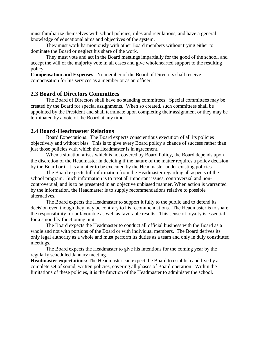must familiarize themselves with school policies, rules and regulations, and have a general knowledge of educational aims and objectives of the system.

They must work harmoniously with other Board members without trying either to dominate the Board or neglect his share of the work.

They must vote and act in the Board meetings impartially for the good of the school, and accept the will of the majority vote in all cases and give wholehearted support to the resulting policy.

**Compensation and Expenses**: No member of the Board of Directors shall receive compensation for his services as a member or as an officer.

# **2.3 Board of Directors Committees**

The Board of Directors shall have no standing committees. Special committees may be created by the Board for special assignments. When so created, such committees shall be appointed by the President and shall terminate upon completing their assignment or they may be terminated by a vote of the Board at any time.

## **2.4 Board-Headmaster Relations**

Board Expectations: The Board expects conscientious execution of all its policies objectively and without bias. This is to give every Board policy a chance of success rather than just those policies with which the Headmaster is in agreement.

When a situation arises which is not covered by Board Policy, the Board depends upon the discretion of the Headmaster in deciding if the nature of the matter requires a policy decision by the Board or if it is a matter to be executed by the Headmaster under existing policies.

The Board expects full information from the Headmaster regarding all aspects of the school program. Such information is to treat all important issues, controversial and noncontroversial, and is to be presented in an objective unbiased manner. When action is warranted by the information, the Headmaster is to supply recommendations relative to possible alternatives.

The Board expects the Headmaster to support it fully to the public and to defend its decision even though they may be contrary to his recommendations. The Headmaster is to share the responsibility for unfavorable as well as favorable results. This sense of loyalty is essential for a smoothly functioning unit.

The Board expects the Headmaster to conduct all official business with the Board as a whole and not with portions of the Board or with individual members. The Board derives its only legal authority as a whole and must perform its duties as a team and only in duly constituted meetings.

The Board expects the Headmaster to give his intentions for the coming year by the regularly scheduled January meeting.

**Headmaster expectations:** The Headmaster can expect the Board to establish and live by a complete set of sound, written policies, covering all phases of Board operation. Within the limitations of these policies, it is the function of the Headmaster to administer the school.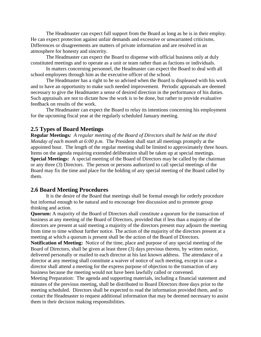The Headmaster can expect full support from the Board as long as he is in their employ. He can expect protection against unfair demands and excessive or unwarranted criticisms. Differences or disagreements are matters of private information and are resolved in an atmosphere for honesty and sincerity.

The Headmaster can expect the Board to dispense with official business only at duly constituted meetings and to operate as a unit or team rather than as factions or individuals.

In matters concerning personnel, the Headmaster can expect the Board to deal with all school employees through him as the executive officer of the school.

The Headmaster has a right to be so advised when the Board is displeased with his work and to have an opportunity to make such needed improvement. Periodic appraisals are deemed necessary to give the Headmaster a sense of desired direction in the performance of his duties. Such appraisals are not to dictate how the work is to be done, but rather to provide evaluative feedback on results of the work.

The Headmaster can expect the Board to relay its intentions concerning his employment for the upcoming fiscal year at the regularly scheduled January meeting.

# **2.5 Types of Board Meetings**

**Regular Meetings***: A regular meeting of the Board of Directors shall be held on the third Monday of each month at 6:00 p.m.* The President shall start all meetings promptly at the appointed hour. The length of the regular meeting shall be limited to approximately three hours. Items on the agenda requiring extended deliberation shall be taken up at special meetings. **Special Meetings:** A special meeting of the Board of Directors may be called by the chairman or any three (3) Directors. The person or persons authorized to call special meetings of the Board may fix the time and place for the holding of any special meeting of the Board called by them.

#### **2.6 Board Meeting Procedures**

It is the desire of the Board that meetings shall be formal enough for orderly procedure but informal enough to be natural and to encourage free discussion and to promote group thinking and action.

**Quorum:** A majority of the Board of Directors shall constitute a quorum for the transaction of business at any meeting of the Board of Directors, provided that if less than a majority of the directors are present at said meeting a majority of the directors present may adjourn the meeting from time to time without further notice. The action of the majority of the directors present at a meeting at which a quorum is present shall be the action of the Board of Directors.

**Notification of Meeting:** Notice of the time, place and purpose of any special meeting of the Board of Directors, shall be given at least three (3) days previous thereto, by written notice, delivered personally or mailed to each director at his last known address. The attendance of a director at any meeting shall constitute a waiver of notice of such meeting, except in case a director shall attend a meeting for the express purpose of objection to the transaction of any business because the meeting would not have been lawfully called or convened.

Meeting Preparation: The agenda and supporting materials, including a financial statement and minutes of the previous meeting, shall be distributed to Board Directors three days prior to the meeting scheduled. Directors shall be expected to read the information provided them, and to contact the Headmaster to request additional information that may be deemed necessary to assist them in their decision making responsibilities.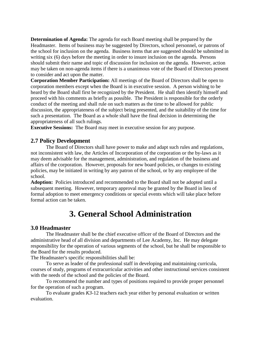**Determination of Agenda:** The agenda for each Board meeting shall be prepared by the Headmaster. Items of business may be suggested by Directors, school personnel, or patrons of the school for inclusion on the agenda. Business items that are suggested should be submitted in writing six (6) days before the meeting in order to insure inclusion on the agenda. Persons should submit their name and topic of discussion for inclusion on the agenda. However, action may be taken on non-agenda items if there is a unanimous vote of the Board of Directors present to consider and act upon the matter.

**Corporation Member Participation:** All meetings of the Board of Directors shall be open to corporation members except when the Board is in executive session. A person wishing to be heard by the Board shall first be recognized by the President. He shall then identify himself and proceed with his comments as briefly as possible. The President is responsible for the orderly conduct of the meeting and shall rule on such matters as the time to be allowed for public discussion, the appropriateness of the subject being presented, and the suitability of the time for such a presentation. The Board as a whole shall have the final decision in determining the appropriateness of all such rulings.

**Executive Sessions:** The Board may meet in executive session for any purpose.

# **2.7 Policy Development**

The Board of Directors shall have power to make and adapt such rules and regulations, not inconsistent with law, the Articles of Incorporation of the corporation or the by-laws as it may deem advisable for the management, administration, and regulation of the business and affairs of the corporation. However, proposals for new board policies, or changes to existing policies, may be initiated in writing by any patron of the school, or by any employee of the school.

**Adoption:** Policies introduced and recommended to the Board shall not be adopted until a subsequent meeting. However, temporary approval may be granted by the Board in lieu of formal adoption to meet emergency conditions or special events which will take place before formal action can be taken.

# **3. General School Administration**

### **3.0 Headmaster**

The Headmaster shall be the chief executive officer of the Board of Directors and the administrative head of all division and departments of Lee Academy, Inc. He may delegate responsibility for the operation of various segments of the school, but he shall be responsible to the Board for the results produced.

The Headmaster's specific responsibilities shall be:

To serve as leader of the professional staff in developing and maintaining curricula, courses of study, programs of extracurricular activities and other instructional services consistent with the needs of the school and the policies of the Board.

To recommend the number and types of positions required to provide proper personnel for the operation of such a program.

To evaluate grades *K3*-12 teachers each year either by personal evaluation or written evaluation.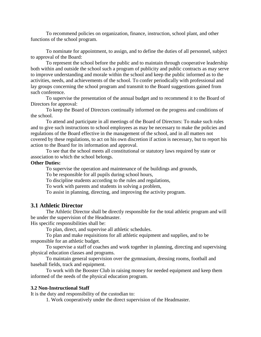To recommend policies on organization, finance, instruction, school plant, and other functions of the school program.

To nominate for appointment, to assign, and to define the duties of all personnel, subject to approval of the Board:

To represent the school before the public and to maintain through cooperative leadership both within and outside the school such a program of publicity and public contracts as may serve to improve understanding and morale within the school and keep the public informed as to the activities, needs, and achievements of the school. To confer periodically with professional and lay groups concerning the school program and transmit to the Board suggestions gained from such conference.

To supervise the presentation of the annual budget and to recommend it to the Board of Directors for approval:

To keep the Board of Directors continually informed on the progress and conditions of the school.

To attend and participate in all meetings of the Board of Directors: To make such rules and to give such instructions to school employees as may be necessary to make the policies and regulations of the Board effective in the management of the school, and in all matters not covered by these regulations, to act on his own discretion if action is necessary, but to report his action to the Board for its information and approval.

To see that the school meets all constitutional or statutory laws required by state or association to which the school belongs.

#### **Other Duties:**

To supervise the operation and maintenance of the buildings and grounds,

To be responsible for all pupils during school hours,

To discipline students according to the rules and regulations,

To work with parents and students in solving a problem,

To assist in planning, directing, and improving the activity program.

# **3.1 Athletic Director**

The Athletic Director shall be directly responsible for the total athletic program and will be under the supervision of the Headmaster.

His specific responsibilities shall be:

To plan, direct, and supervise all athletic schedules.

To plan and make requisitions for all athletic equipment and supplies, and to be responsible for an athletic budget.

To supervise a staff of coaches and work together in planning, directing and supervising physical education classes and programs.

To maintain general supervision over the gymnasium, dressing rooms, football and baseball fields, track and equipment.

To work with the Booster Club in raising money for needed equipment and keep them informed of the needs of the physical education program.

#### **3.2 Non-Instructional Staff**

It is the duty and responsibility of the custodian to:

1. Work cooperatively under the direct supervision of the Headmaster.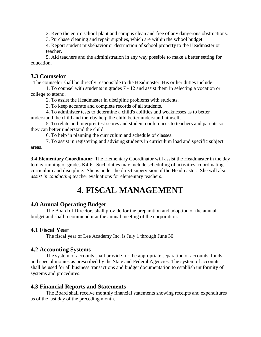2. Keep the entire school plant and campus clean and free of any dangerous obstructions.

3. Purchase cleaning and repair supplies, which are within the school budget.

4. Report student misbehavior or destruction of school property to the Headmaster or teacher.

5. Aid teachers and the administration in any way possible to make a better setting for education.

# **3.3 Counselor**

The counselor shall be directly responsible to the Headmaster. His or her duties include:

1. To counsel with students in grades 7 - 12 and assist them in selecting a vocation or college to attend.

2. To assist the Headmaster in discipline problems with students.

3. To keep accurate and complete records of all students.

4. To administer tests to determine a child's abilities and weaknesses as to better understand the child and thereby help the child better understand himself.

5. To relate and interpret test scores and student conferences to teachers and parents so they can better understand the child.

6. To help in planning the curriculum and schedule of classes.

7. To assist in registering and advising students in curriculum load and specific subject areas.

**3.4 Elementary Coordinator.** The Elementary Coordinator will assist the Headmaster in the day to day running of grades K4-6. Such duties may include scheduling of activities, coordinating curriculum and discipline. She is under the direct supervision of the Headmaster. She will also *assist in conducting* teacher evaluations for elementary teachers.

# **4. FISCAL MANAGEMENT**

# **4.0 Annual Operating Budget**

The Board of Directors shall provide for the preparation and adoption of the annual budget and shall recommend it at the annual meeting of the corporation.

### **4.1 Fiscal Year**

The fiscal year of Lee Academy Inc. is July 1 through June 30.

# **4.2 Accounting Systems**

The system of accounts shall provide for the appropriate separation of accounts, funds and special monies as prescribed by the State and Federal Agencies. The system of accounts shall be used for all business transactions and budget documentation to establish uniformity of systems and procedures.

### **4.3 Financial Reports and Statements**

The Board shall receive monthly financial statements showing receipts and expenditures as of the last day of the preceding month.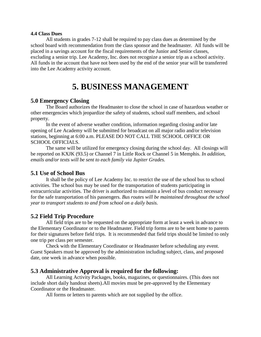#### **4.4 Class Dues**

All students in grades 7-12 shall be required to pay class dues as determined by the school board with recommendation from the class sponsor and the headmaster. All funds will be placed in a savings account for the fiscal requirements of the Junior and Senior classes, excluding a senior trip. Lee Academy, Inc. does not recognize a senior trip as a school activity. All funds in the account that have not been used by the end of the senior year will be transferred into the Lee Academy activity account.

# **5. BUSINESS MANAGEMENT**

### **5.0 Emergency Closing**

The Board authorizes the Headmaster to close the school in case of hazardous weather or other emergencies which jeopardize the safety of students, school staff members, and school property.

In the event of adverse weather condition, information regarding closing and/or late opening of Lee Academy will be submitted for broadcast on all major radio and/or television stations, beginning at 6:00 a.m. PLEASE DO NOT CALL THE SCHOOL OFFICE OR SCHOOL OFFICIALS.

The same will be utilized for emergency closing during the school day. All closings will be reported on KXJK (93.5) or Channel 7 in Little Rock or Channel 5 in Memphis. *In addition, emails and/or texts will be sent to each family via Jupiter Grades.* 

### **5.1 Use of School Bus**

It shall be the policy of Lee Academy Inc. to restrict the use of the school bus to school activities. The school bus may be used for the transportation of students participating in extracurricular activities. The driver is authorized to maintain a level of bus conduct necessary for the safe transportation of his passengers. *Bus routes will be maintained throughout the school year to transport students to and from school on a daily basis.*

## **5.2 Field Trip Procedure**

All field trips are to be requested on the appropriate form at least a week in advance to the Elementary Coordinator or to the Headmaster. Field trip forms are to be sent home to parents for their signatures before field trips. It is recommended that field trips should be limited to only one trip per class per semester.

Check with the Elementary Coordinator or Headmaster before scheduling any event. Guest Speakers must be approved by the administration including subject, class, and proposed date, one week in advance when possible.

### **5.3 Administrative Approval is required for the following:**

All Learning Activity Packages, books, magazines, or questionnaires. (This does not include short daily handout sheets).All movies must be pre-approved by the Elementary Coordinator or the Headmaster.

All forms or letters to parents which are not supplied by the office.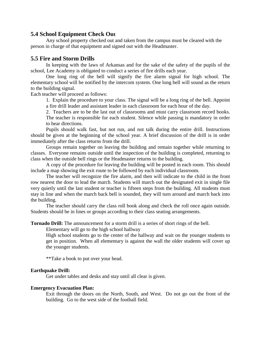# **5.4 School Equipment Check Out**

Any school property checked out and taken from the campus must be cleared with the person in charge of that equipment and signed out with the Headmaster.

# **5.5 Fire and Storm Drills**

In keeping with the laws of Arkansas and for the sake of the safety of the pupils of the school, Lee Academy is obligated to conduct a series of fire drills each year.

One long ring of the bell will signify the fire alarm signal for high school. The elementary school will be notified by the intercom system. One long bell will sound as the return to the building signal.

Each teacher will proceed as follows:

1. Explain the procedure to your class. The signal will be a long ring of the bell. Appoint a fire drill leader and assistant leader in each classroom for each hour of the day.

2. Teachers are to be the last out of classrooms and must carry classroom record books. The teacher is responsible for each student. Silence while passing is mandatory in order to hear directions.

Pupils should walk fast, but not run, and not talk during the entire drill. Instructions should be given at the beginning of the school year. A brief discussion of the drill is in order immediately after the class returns from the drill.

Groups remain together on leaving the building and remain together while returning to classes. Everyone remains outside until the inspection of the building is completed, returning to class when the outside bell rings or the Headmaster returns to the building.

A copy of the procedure for leaving the building will be posted in each room. This should include a map showing the exit route to be followed by each individual classroom.

The teacher will recognize the fire alarm, and then will indicate to the child in the front row nearest the door to lead the march. Students will march out the designated exit in single file very quietly until the last student or teacher is fifteen steps from the building. All students must stay in line and when the march back bell is sounded, they will turn around and march back into the building.

The teacher should carry the class roll book along and check the roll once again outside. Students should be in lines or groups according to their class seating arrangements.

**Tornado Drill:** The announcement for a storm drill is a series of short rings of the bell.

Elementary will go to the high school hallway

High school students go to the center of the hallway and wait on the younger students to get in position. When all elementary is against the wall the older students will cover up the younger students.

\*\*Take a book to put over your head.

### **Earthquake Drill:**

Get under tables and desks and stay until all clear is given.

### **Emergency Evacuation Plan:**

Exit through the doors on the North, South, and West. Do not go out the front of the building. Go to the west side of the football field.